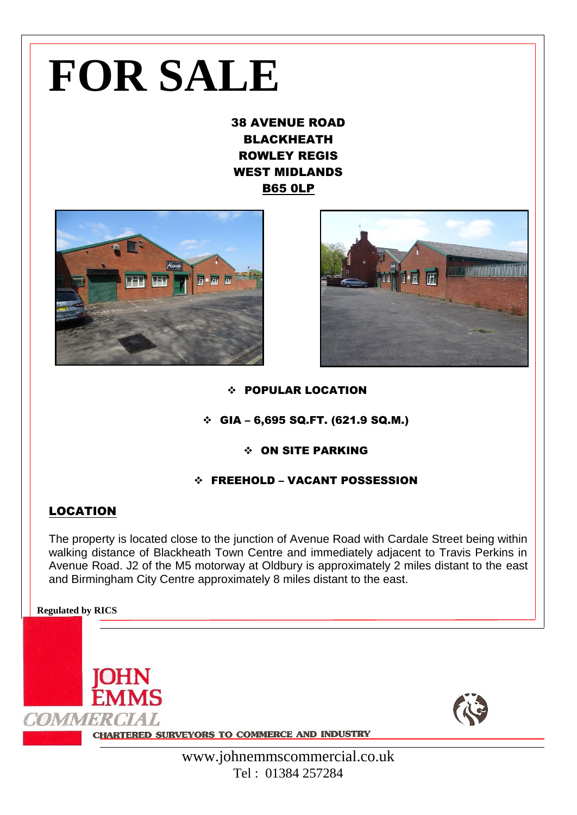# **FOR SALE**

38 AVENUE ROAD BLACKHEATH ROWLEY REGIS WEST MIDLANDS B65 0LP





## POPULAR LOCATION

## $\div$  GIA – 6,695 SQ.FT. (621.9 SQ.M.)

## ON SITE PARKING

# FREEHOLD – VACANT POSSESSION

# LOCATION

The property is located close to the junction of Avenue Road with Cardale Street being within walking distance of Blackheath Town Centre and immediately adjacent to Travis Perkins in Avenue Road. J2 of the M5 motorway at Oldbury is approximately 2 miles distant to the east and Birmingham City Centre approximately 8 miles distant to the east.

#### **Regulated by RICS**

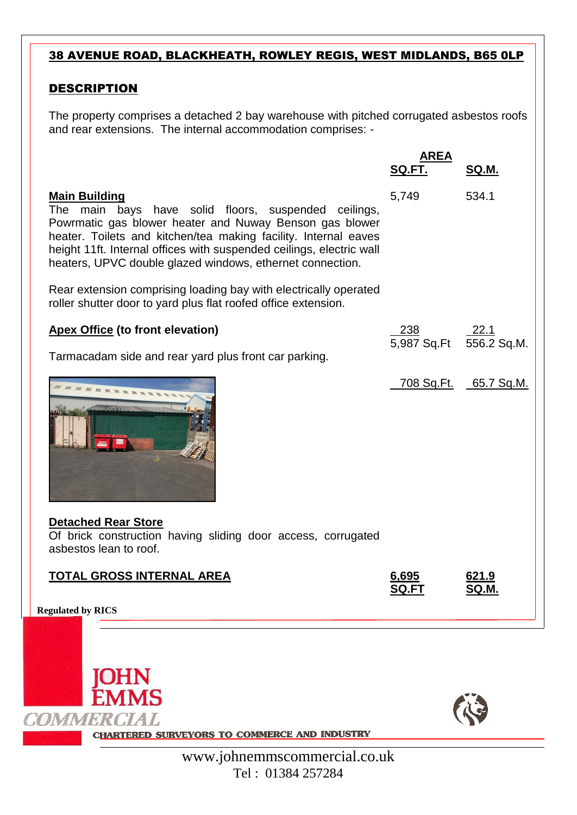# 38 AVENUE ROAD, BLACKHEATH, ROWLEY REGIS, WEST MIDLANDS, B65 0LP

# DESCRIPTION

The property comprises a detached 2 bay warehouse with pitched corrugated asbestos roofs and rear extensions. The internal accommodation comprises: -

|                                                                                                                                                                                                                                                                                                                                                    | <b>AREA</b><br>SQ.FT.                      | SQ.M.                 |
|----------------------------------------------------------------------------------------------------------------------------------------------------------------------------------------------------------------------------------------------------------------------------------------------------------------------------------------------------|--------------------------------------------|-----------------------|
| <b>Main Building</b><br>main bays have solid floors, suspended ceilings,<br>The<br>Powrmatic gas blower heater and Nuway Benson gas blower<br>heater. Toilets and kitchen/tea making facility. Internal eaves<br>height 11ft. Internal offices with suspended ceilings, electric wall<br>heaters, UPVC double glazed windows, ethernet connection. | 5,749                                      | 534.1                 |
| Rear extension comprising loading bay with electrically operated<br>roller shutter door to yard plus flat roofed office extension.                                                                                                                                                                                                                 |                                            |                       |
| <b>Apex Office (to front elevation)</b><br>Tarmacadam side and rear yard plus front car parking.                                                                                                                                                                                                                                                   | <u>238</u> 22.1<br>5,987 Sq.Ft 556.2 Sq.M. |                       |
|                                                                                                                                                                                                                                                                                                                                                    |                                            | 708 Sq.Ft. 65.7 Sq.M. |
| <b>Detached Rear Store</b><br>Of brick construction having sliding door access, corrugated<br>asbestos lean to roof.                                                                                                                                                                                                                               |                                            |                       |
| <b>TOTAL GROSS INTERNAL AREA</b>                                                                                                                                                                                                                                                                                                                   | 6,695<br><b>SQ.FT</b>                      | 621.9<br>SQ.M.        |
| <b>Regulated by RICS</b>                                                                                                                                                                                                                                                                                                                           |                                            |                       |
|                                                                                                                                                                                                                                                                                                                                                    |                                            |                       |





**CHARTERED SURVEYORS TO COMMERCE AND INDUSTRY**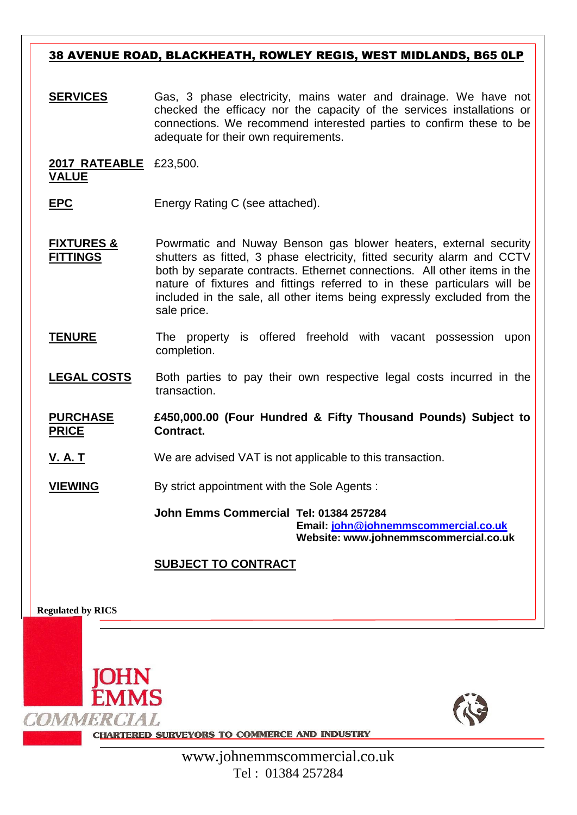## 38 AVENUE ROAD, BLACKHEATH, ROWLEY REGIS, WEST MIDLANDS, B65 0LP

**SERVICES** Gas, 3 phase electricity, mains water and drainage. We have not checked the efficacy nor the capacity of the services installations or connections. We recommend interested parties to confirm these to be adequate for their own requirements.

**2017 RATEABLE**  £23,500. **VALUE**

- **EPC** Energy Rating C (see attached).
- **FIXTURES & FITTINGS** Powrmatic and Nuway Benson gas blower heaters, external security shutters as fitted, 3 phase electricity, fitted security alarm and CCTV both by separate contracts. Ethernet connections. All other items in the nature of fixtures and fittings referred to in these particulars will be included in the sale, all other items being expressly excluded from the sale price.
- **TENURE** The property is offered freehold with vacant possession upon completion.
- LEGAL COSTS Both parties to pay their own respective legal costs incurred in the transaction.

**PURCHASE PRICE £450,000.00 (Four Hundred & Fifty Thousand Pounds) Subject to Contract.**

**V. A. T** We are advised VAT is not applicable to this transaction.

**VIEWING** By strict appointment with the Sole Agents :

**John Emms Commercial Tel: 01384 257284 Email: [john@johnemmscommercial.co.uk](mailto:john@johnemmscommercial.co.uk) Website: www.johnemmscommercial.co.uk**

# **SUBJECT TO CONTRACT**

**Regulated by RICS**





**CHARTERED SURVEYORS TO COMMERCE AND INDUSTRY**